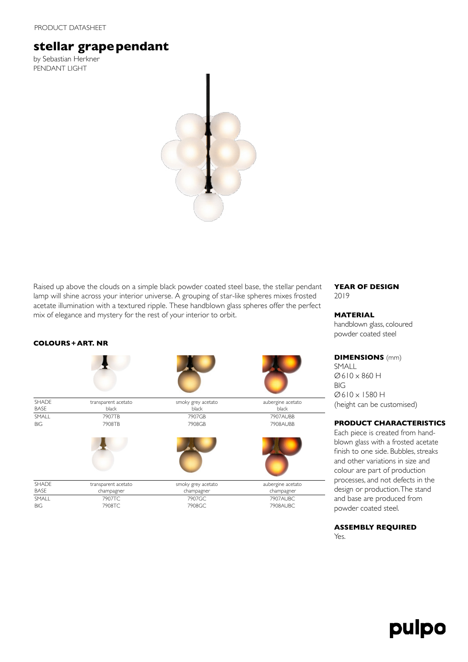### PRODUCT DATASHEET

# **stellar grapependant**

by Sebastian Herkner PENDANT LIGHT

**COLOURS+ART. NR**



Raised up above the clouds on a simple black powder coated steel base, the stellar pendant lamp will shine across your interior universe. A grouping of star-like spheres mixes frosted acetate illumination with a textured ripple. These handblown glass spheres offer the perfect mix of elegance and mystery for the rest of your interior to orbit.

#### **SHADE BASE** transparent acetato black smoky grey acetato black aubergine acetato black SMALL 7907TB 7907GB 7907AUBB BIG 7908TB 7908GB 7908AUBB **SHADE** BASE transparent acetato champagner smoky grey acetato champagner aubergine acetato champagner SMALL 7907TC 7907GC 7907AUBC BIG 7908TC 7908GC 7908AUBC

**YEAR OF DESIGN** 2019

## **MATERIAL**

handblown glass, coloured powder coated steel

**DIMENSIONS** (mm) SMALL Ø610 x 860 H BIG Ø610 x 1580 H (height can be customised)

## **PRODUCT CHARACTERISTICS**

Each piece is created from handblown glass with a frosted acetate finish to one side. Bubbles, streaks and other variations in size and colour are part of production processes, and not defects in the design or production. The stand and base are produced from powder coated steel.

# **ASSEMBLY REQUIRED**

Yes.

# pulpo